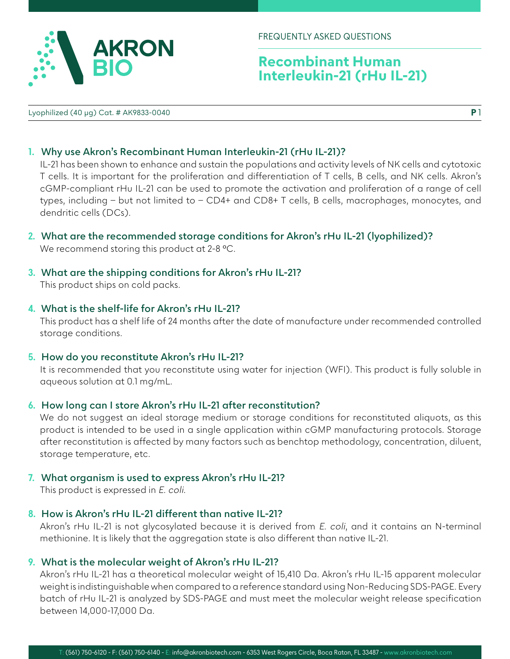

# **Recombinant Human Interleukin-21 (rHu IL-21)**

Lyophilized (40 µg) Cat. # AK9833-0040

**P** 1

#### **1. Why use Akron's Recombinant Human Interleukin-21 (rHu IL-21)?**

IL-21 has been shown to enhance and sustain the populations and activity levels of NK cells and cytotoxic T cells. It is important for the proliferation and differentiation of T cells, B cells, and NK cells. Akron's cGMP-compliant rHu IL-21 can be used to promote the activation and proliferation of a range of cell types, including – but not limited to – CD4+ and CD8+ T cells, B cells, macrophages, monocytes, and dendritic cells (DCs).

- **2. What are the recommended storage conditions for Akron's rHu IL-21 (lyophilized)?** We recommend storing this product at 2-8 °C.
- **3. What are the shipping conditions for Akron's rHu IL-21?** This product ships on cold packs.

#### **4. What is the shelf-life for Akron's rHu IL-21?**

This product has a shelf life of 24 months after the date of manufacture under recommended controlled storage conditions.

**5. How do you reconstitute Akron's rHu IL-21?**

It is recommended that you reconstitute using water for injection (WFI). This product is fully soluble in aqueous solution at 0.1 mg/mL.

#### **6. How long can I store Akron's rHu IL-21 after reconstitution?**

We do not suggest an ideal storage medium or storage conditions for reconstituted aliquots, as this product is intended to be used in a single application within cGMP manufacturing protocols. Storage after reconstitution is affected by many factors such as benchtop methodology, concentration, diluent, storage temperature, etc.

**7. What organism is used to express Akron's rHu IL-21?**

This product is expressed in E. coli.

#### **8. How is Akron's rHu IL-21 different than native IL-21?**

Akron's rHu IL-21 is not glycosylated because it is derived from E. coli, and it contains an N-terminal methionine. It is likely that the aggregation state is also different than native IL-21.

#### **9. What is the molecular weight of Akron's rHu IL-21?**

Akron's rHu IL-21 has a theoretical molecular weight of 15,410 Da. Akron's rHu IL-15 apparent molecular weight is indistinguishable when compared to a reference standard using Non-Reducing SDS-PAGE. Every batch of rHu IL-21 is analyzed by SDS-PAGE and must meet the molecular weight release specification between 14,000-17,000 Da.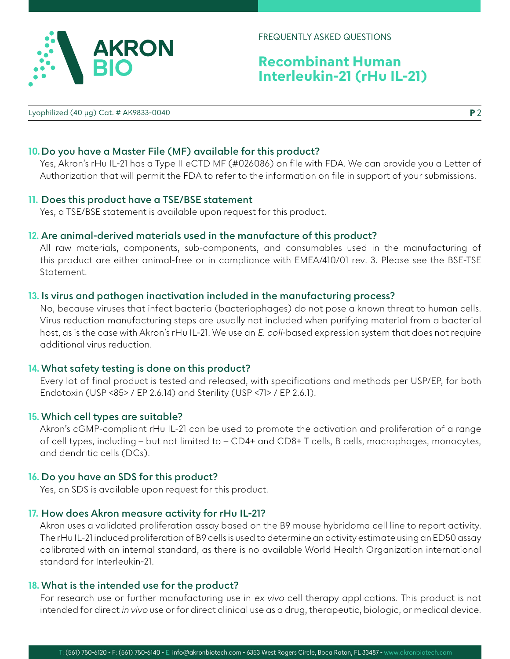FREQUENTLY ASKED QUESTIONS

# **Recombinant Human Interleukin-21 (rHu IL-21)**

Lyophilized (40 µg) Cat. # AK9833-0040

## **10. Do you have a Master File (MF) available for this product?**

Yes, Akron's rHu IL-21 has a Type II eCTD MF (#026086) on file with FDA. We can provide you a Letter of Authorization that will permit the FDA to refer to the information on file in support of your submissions.

## **11. Does this product have a TSE/BSE statement**

Yes, a TSE/BSE statement is available upon request for this product.

## **12. Are animal-derived materials used in the manufacture of this product?**

All raw materials, components, sub-components, and consumables used in the manufacturing of this product are either animal-free or in compliance with EMEA/410/01 rev. 3. Please see the BSE-TSE Statement.

#### **13. Is virus and pathogen inactivation included in the manufacturing process?**

No, because viruses that infect bacteria (bacteriophages) do not pose a known threat to human cells. Virus reduction manufacturing steps are usually not included when purifying material from a bacterial host, as is the case with Akron's rHu IL-21. We use an E. coli-based expression system that does not require additional virus reduction.

## **14. What safety testing is done on this product?**

Every lot of final product is tested and released, with specifications and methods per USP/EP, for both Endotoxin (USP <85> / EP 2.6.14) and Sterility (USP <71> / EP 2.6.1).

## **15. Which cell types are suitable?**

Akron's cGMP-compliant rHu IL-21 can be used to promote the activation and proliferation of a range of cell types, including - but not limited to - CD4+ and CD8+ T cells, B cells, macrophages, monocytes, and dendritic cells (DCs).

## **16. Do you have an SDS for this product?**

Yes, an SDS is available upon request for this product.

## **17. How does Akron measure activity for rHu IL-21?**

Akron uses a validated proliferation assay based on the B9 mouse hybridoma cell line to report activity. The rHu IL-21 induced proliferation of B9 cells is used to determine an activity estimate using an ED50 assay calibrated with an internal standard, as there is no available World Health Organization international standard for Interleukin-21.

## **18. What is the intended use for the product?**

For research use or further manufacturing use in ex vivo cell therapy applications. This product is not intended for direct in vivo use or for direct clinical use as a drug, therapeutic, biologic, or medical device.



**P** 2